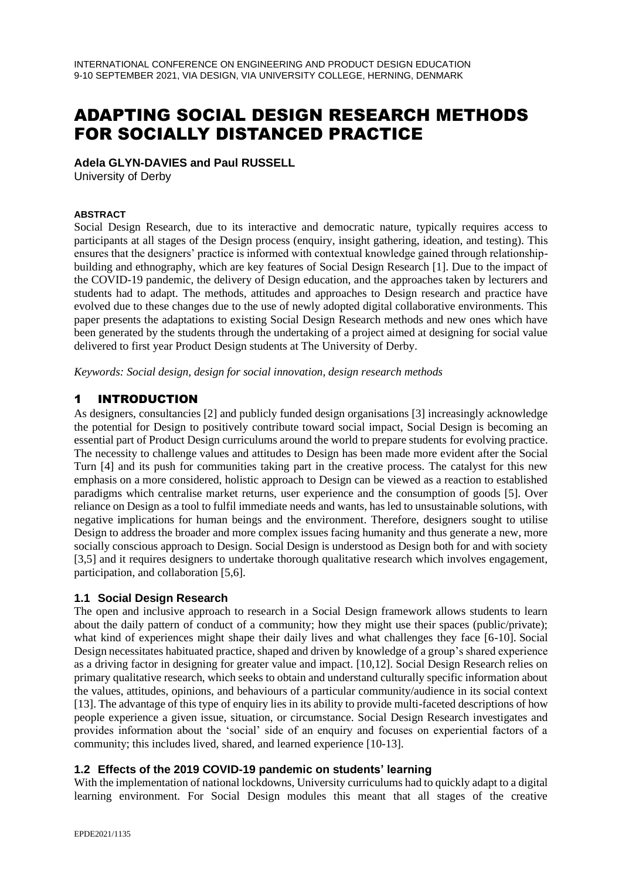# ADAPTING SOCIAL DESIGN RESEARCH METHODS FOR SOCIALLY DISTANCED PRACTICE

#### **Adela GLYN-DAVIES and Paul RUSSELL**

University of Derby

#### **ABSTRACT**

Social Design Research, due to its interactive and democratic nature, typically requires access to participants at all stages of the Design process (enquiry, insight gathering, ideation, and testing). This ensures that the designers' practice is informed with contextual knowledge gained through relationshipbuilding and ethnography, which are key features of Social Design Research [1]. Due to the impact of the COVID-19 pandemic, the delivery of Design education, and the approaches taken by lecturers and students had to adapt. The methods, attitudes and approaches to Design research and practice have evolved due to these changes due to the use of newly adopted digital collaborative environments. This paper presents the adaptations to existing Social Design Research methods and new ones which have been generated by the students through the undertaking of a project aimed at designing for social value delivered to first year Product Design students at The University of Derby.

*Keywords: Social design, design for social innovation, design research methods*

## 1 INTRODUCTION

As designers, consultancies [2] and publicly funded design organisations [3] increasingly acknowledge the potential for Design to positively contribute toward social impact, Social Design is becoming an essential part of Product Design curriculums around the world to prepare students for evolving practice. The necessity to challenge values and attitudes to Design has been made more evident after the Social Turn [4] and its push for communities taking part in the creative process. The catalyst for this new emphasis on a more considered, holistic approach to Design can be viewed as a reaction to established paradigms which centralise market returns, user experience and the consumption of goods [5]. Over reliance on Design as a tool to fulfil immediate needs and wants, has led to unsustainable solutions, with negative implications for human beings and the environment. Therefore, designers sought to utilise Design to address the broader and more complex issues facing humanity and thus generate a new, more socially conscious approach to Design. Social Design is understood as Design both for and with society [3,5] and it requires designers to undertake thorough qualitative research which involves engagement, participation, and collaboration [5,6].

#### **1.1 Social Design Research**

The open and inclusive approach to research in a Social Design framework allows students to learn about the daily pattern of conduct of a community; how they might use their spaces (public/private); what kind of experiences might shape their daily lives and what challenges they face [6-10]. Social Design necessitates habituated practice, shaped and driven by knowledge of a group's shared experience as a driving factor in designing for greater value and impact. [10,12]. Social Design Research relies on primary qualitative research, which seeks to obtain and understand culturally specific information about the values, attitudes, opinions, and behaviours of a particular community/audience in its social context [13]. The advantage of this type of enquiry lies in its ability to provide multi-faceted descriptions of how people experience a given issue, situation, or circumstance. Social Design Research investigates and provides information about the 'social' side of an enquiry and focuses on experiential factors of a community; this includes lived, shared, and learned experience [10-13].

## **1.2 Effects of the 2019 COVID-19 pandemic on students' learning**

With the implementation of national lockdowns, University curriculums had to quickly adapt to a digital learning environment. For Social Design modules this meant that all stages of the creative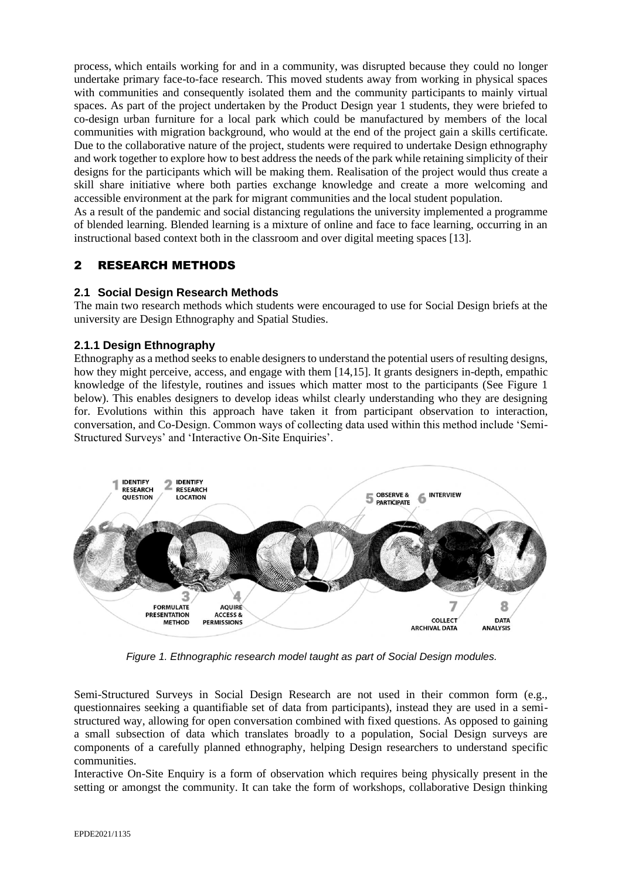process, which entails working for and in a community, was disrupted because they could no longer undertake primary face-to-face research. This moved students away from working in physical spaces with communities and consequently isolated them and the community participants to mainly virtual spaces. As part of the project undertaken by the Product Design year 1 students, they were briefed to co-design urban furniture for a local park which could be manufactured by members of the local communities with migration background, who would at the end of the project gain a skills certificate. Due to the collaborative nature of the project, students were required to undertake Design ethnography and work together to explore how to best address the needs of the park while retaining simplicity of their designs for the participants which will be making them. Realisation of the project would thus create a skill share initiative where both parties exchange knowledge and create a more welcoming and accessible environment at the park for migrant communities and the local student population.

As a result of the pandemic and social distancing regulations the university implemented a programme of blended learning. Blended learning is a mixture of online and face to face learning, occurring in an instructional based context both in the classroom and over digital meeting spaces [13].

## 2 RESEARCH METHODS

#### **2.1 Social Design Research Methods**

The main two research methods which students were encouraged to use for Social Design briefs at the university are Design Ethnography and Spatial Studies.

#### **2.1.1 Design Ethnography**

Ethnography as a method seeks to enable designers to understand the potential users of resulting designs, how they might perceive, access, and engage with them [14,15]. It grants designers in-depth, empathic knowledge of the lifestyle, routines and issues which matter most to the participants (See Figure 1 below). This enables designers to develop ideas whilst clearly understanding who they are designing for. Evolutions within this approach have taken it from participant observation to interaction, conversation, and Co-Design. Common ways of collecting data used within this method include 'Semi-Structured Surveys' and 'Interactive On-Site Enquiries'.



 *Figure 1. Ethnographic research model taught as part of Social Design modules.*

Semi-Structured Surveys in Social Design Research are not used in their common form (e.g., questionnaires seeking a quantifiable set of data from participants), instead they are used in a semistructured way, allowing for open conversation combined with fixed questions. As opposed to gaining a small subsection of data which translates broadly to a population, Social Design surveys are components of a carefully planned ethnography, helping Design researchers to understand specific communities.

Interactive On-Site Enquiry is a form of observation which requires being physically present in the setting or amongst the community. It can take the form of workshops, collaborative Design thinking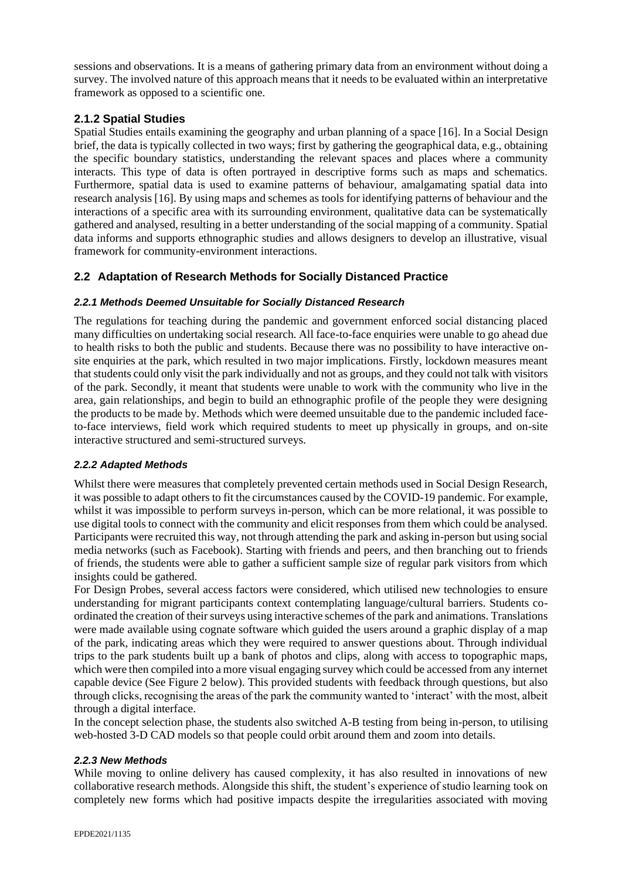sessions and observations. It is a means of gathering primary data from an environment without doing a survey. The involved nature of this approach means that it needs to be evaluated within an interpretative framework as opposed to a scientific one.

## **2.1.2 Spatial Studies**

Spatial Studies entails examining the geography and urban planning of a space [16]. In a Social Design brief, the data is typically collected in two ways; first by gathering the geographical data, e.g., obtaining the specific boundary statistics, understanding the relevant spaces and places where a community interacts. This type of data is often portrayed in descriptive forms such as maps and schematics. Furthermore, spatial data is used to examine patterns of behaviour, amalgamating spatial data into research analysis [16]. By using maps and schemes as tools for identifying patterns of behaviour and the interactions of a specific area with its surrounding environment, qualitative data can be systematically gathered and analysed, resulting in a better understanding of the social mapping of a community. Spatial data informs and supports ethnographic studies and allows designers to develop an illustrative, visual framework for community-environment interactions.

## **2.2 Adaptation of Research Methods for Socially Distanced Practice**

## *2.2.1 Methods Deemed Unsuitable for Socially Distanced Research*

The regulations for teaching during the pandemic and government enforced social distancing placed many difficulties on undertaking social research. All face-to-face enquiries were unable to go ahead due to health risks to both the public and students. Because there was no possibility to have interactive onsite enquiries at the park, which resulted in two major implications. Firstly, lockdown measures meant that students could only visit the park individually and not as groups, and they could not talk with visitors of the park. Secondly, it meant that students were unable to work with the community who live in the area, gain relationships, and begin to build an ethnographic profile of the people they were designing the products to be made by. Methods which were deemed unsuitable due to the pandemic included faceto-face interviews, field work which required students to meet up physically in groups, and on-site interactive structured and semi-structured surveys.

## *2.2.2 Adapted Methods*

Whilst there were measures that completely prevented certain methods used in Social Design Research, it was possible to adapt others to fit the circumstances caused by the COVID-19 pandemic. For example, whilst it was impossible to perform surveys in-person, which can be more relational, it was possible to use digital tools to connect with the community and elicit responses from them which could be analysed. Participants were recruited this way, not through attending the park and asking in-person but using social media networks (such as Facebook). Starting with friends and peers, and then branching out to friends of friends, the students were able to gather a sufficient sample size of regular park visitors from which insights could be gathered.

For Design Probes, several access factors were considered, which utilised new technologies to ensure understanding for migrant participants context contemplating language/cultural barriers. Students coordinated the creation of their surveys using interactive schemes of the park and animations. Translations were made available using cognate software which guided the users around a graphic display of a map of the park, indicating areas which they were required to answer questions about. Through individual trips to the park students built up a bank of photos and clips, along with access to topographic maps, which were then compiled into a more visual engaging survey which could be accessed from any internet capable device (See Figure 2 below). This provided students with feedback through questions, but also through clicks, recognising the areas of the park the community wanted to 'interact' with the most, albeit through a digital interface.

In the concept selection phase, the students also switched A-B testing from being in-person, to utilising web-hosted 3-D CAD models so that people could orbit around them and zoom into details.

#### *2.2.3 New Methods*

While moving to online delivery has caused complexity, it has also resulted in innovations of new collaborative research methods. Alongside this shift, the student's experience of studio learning took on completely new forms which had positive impacts despite the irregularities associated with moving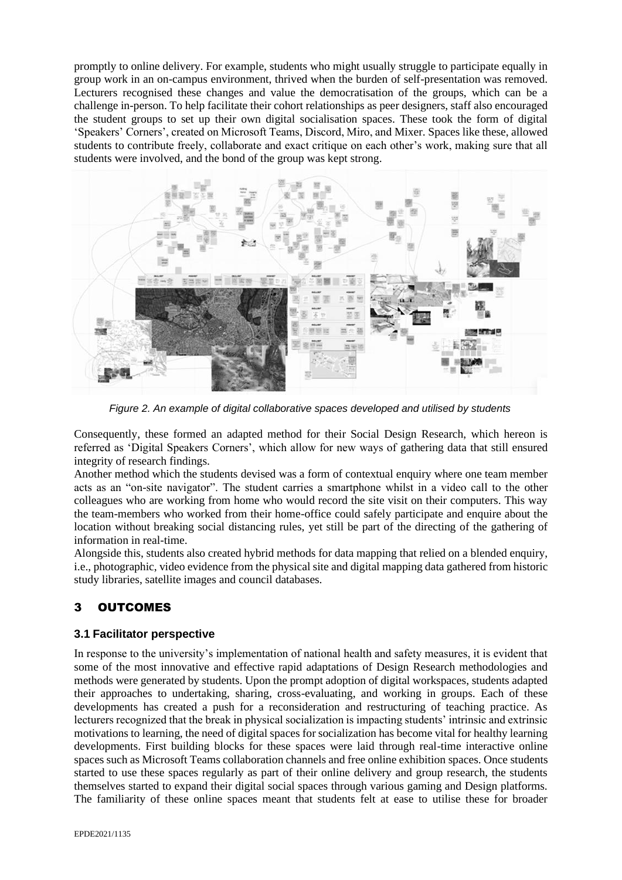promptly to online delivery. For example, students who might usually struggle to participate equally in group work in an on-campus environment, thrived when the burden of self-presentation was removed. Lecturers recognised these changes and value the democratisation of the groups, which can be a challenge in-person. To help facilitate their cohort relationships as peer designers, staff also encouraged the student groups to set up their own digital socialisation spaces. These took the form of digital 'Speakers' Corners', created on Microsoft Teams, Discord, Miro, and Mixer. Spaces like these, allowed students to contribute freely, collaborate and exact critique on each other's work, making sure that all students were involved, and the bond of the group was kept strong.



 *Figure 2. An example of digital collaborative spaces developed and utilised by students*

Consequently, these formed an adapted method for their Social Design Research, which hereon is referred as 'Digital Speakers Corners', which allow for new ways of gathering data that still ensured integrity of research findings.

Another method which the students devised was a form of contextual enquiry where one team member acts as an "on-site navigator". The student carries a smartphone whilst in a video call to the other colleagues who are working from home who would record the site visit on their computers. This way the team-members who worked from their home-office could safely participate and enquire about the location without breaking social distancing rules, yet still be part of the directing of the gathering of information in real-time.

Alongside this, students also created hybrid methods for data mapping that relied on a blended enquiry, i.e., photographic, video evidence from the physical site and digital mapping data gathered from historic study libraries, satellite images and council databases.

# 3 OUTCOMES

## **3.1 Facilitator perspective**

In response to the university's implementation of national health and safety measures, it is evident that some of the most innovative and effective rapid adaptations of Design Research methodologies and methods were generated by students. Upon the prompt adoption of digital workspaces, students adapted their approaches to undertaking, sharing, cross-evaluating, and working in groups. Each of these developments has created a push for a reconsideration and restructuring of teaching practice. As lecturers recognized that the break in physical socialization is impacting students' intrinsic and extrinsic motivations to learning, the need of digital spaces for socialization has become vital for healthy learning developments. First building blocks for these spaces were laid through real-time interactive online spaces such as Microsoft Teams collaboration channels and free online exhibition spaces. Once students started to use these spaces regularly as part of their online delivery and group research, the students themselves started to expand their digital social spaces through various gaming and Design platforms. The familiarity of these online spaces meant that students felt at ease to utilise these for broader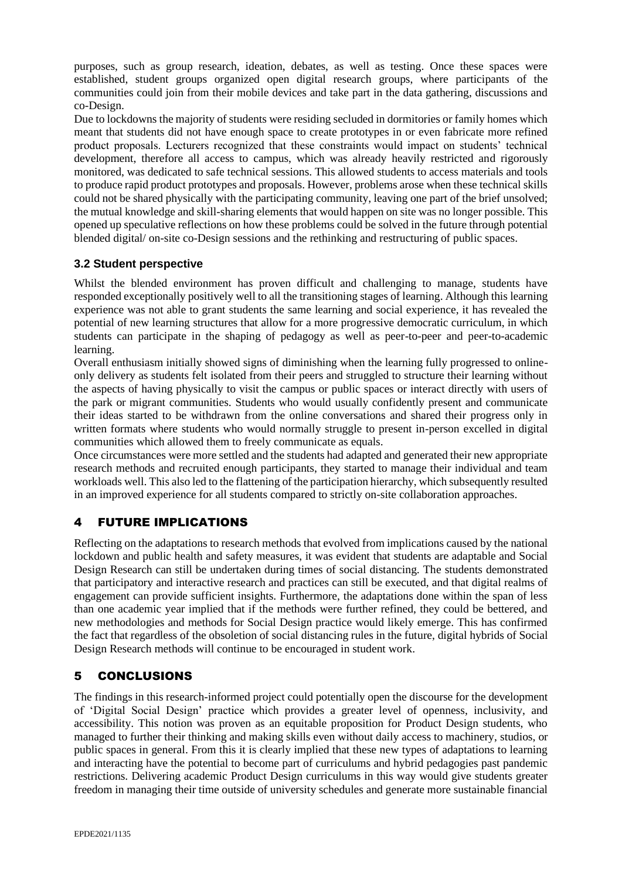purposes, such as group research, ideation, debates, as well as testing. Once these spaces were established, student groups organized open digital research groups, where participants of the communities could join from their mobile devices and take part in the data gathering, discussions and co-Design.

Due to lockdowns the majority of students were residing secluded in dormitories or family homes which meant that students did not have enough space to create prototypes in or even fabricate more refined product proposals. Lecturers recognized that these constraints would impact on students' technical development, therefore all access to campus, which was already heavily restricted and rigorously monitored, was dedicated to safe technical sessions. This allowed students to access materials and tools to produce rapid product prototypes and proposals. However, problems arose when these technical skills could not be shared physically with the participating community, leaving one part of the brief unsolved; the mutual knowledge and skill-sharing elements that would happen on site was no longer possible. This opened up speculative reflections on how these problems could be solved in the future through potential blended digital/ on-site co-Design sessions and the rethinking and restructuring of public spaces.

## **3.2 Student perspective**

Whilst the blended environment has proven difficult and challenging to manage, students have responded exceptionally positively well to all the transitioning stages of learning. Although this learning experience was not able to grant students the same learning and social experience, it has revealed the potential of new learning structures that allow for a more progressive democratic curriculum, in which students can participate in the shaping of pedagogy as well as peer-to-peer and peer-to-academic learning.

Overall enthusiasm initially showed signs of diminishing when the learning fully progressed to onlineonly delivery as students felt isolated from their peers and struggled to structure their learning without the aspects of having physically to visit the campus or public spaces or interact directly with users of the park or migrant communities. Students who would usually confidently present and communicate their ideas started to be withdrawn from the online conversations and shared their progress only in written formats where students who would normally struggle to present in-person excelled in digital communities which allowed them to freely communicate as equals.

Once circumstances were more settled and the students had adapted and generated their new appropriate research methods and recruited enough participants, they started to manage their individual and team workloads well. This also led to the flattening of the participation hierarchy, which subsequently resulted in an improved experience for all students compared to strictly on-site collaboration approaches.

# 4 FUTURE IMPLICATIONS

Reflecting on the adaptations to research methods that evolved from implications caused by the national lockdown and public health and safety measures, it was evident that students are adaptable and Social Design Research can still be undertaken during times of social distancing. The students demonstrated that participatory and interactive research and practices can still be executed, and that digital realms of engagement can provide sufficient insights. Furthermore, the adaptations done within the span of less than one academic year implied that if the methods were further refined, they could be bettered, and new methodologies and methods for Social Design practice would likely emerge. This has confirmed the fact that regardless of the obsoletion of social distancing rules in the future, digital hybrids of Social Design Research methods will continue to be encouraged in student work.

# 5 CONCLUSIONS

The findings in this research-informed project could potentially open the discourse for the development of 'Digital Social Design' practice which provides a greater level of openness, inclusivity, and accessibility. This notion was proven as an equitable proposition for Product Design students, who managed to further their thinking and making skills even without daily access to machinery, studios, or public spaces in general. From this it is clearly implied that these new types of adaptations to learning and interacting have the potential to become part of curriculums and hybrid pedagogies past pandemic restrictions. Delivering academic Product Design curriculums in this way would give students greater freedom in managing their time outside of university schedules and generate more sustainable financial